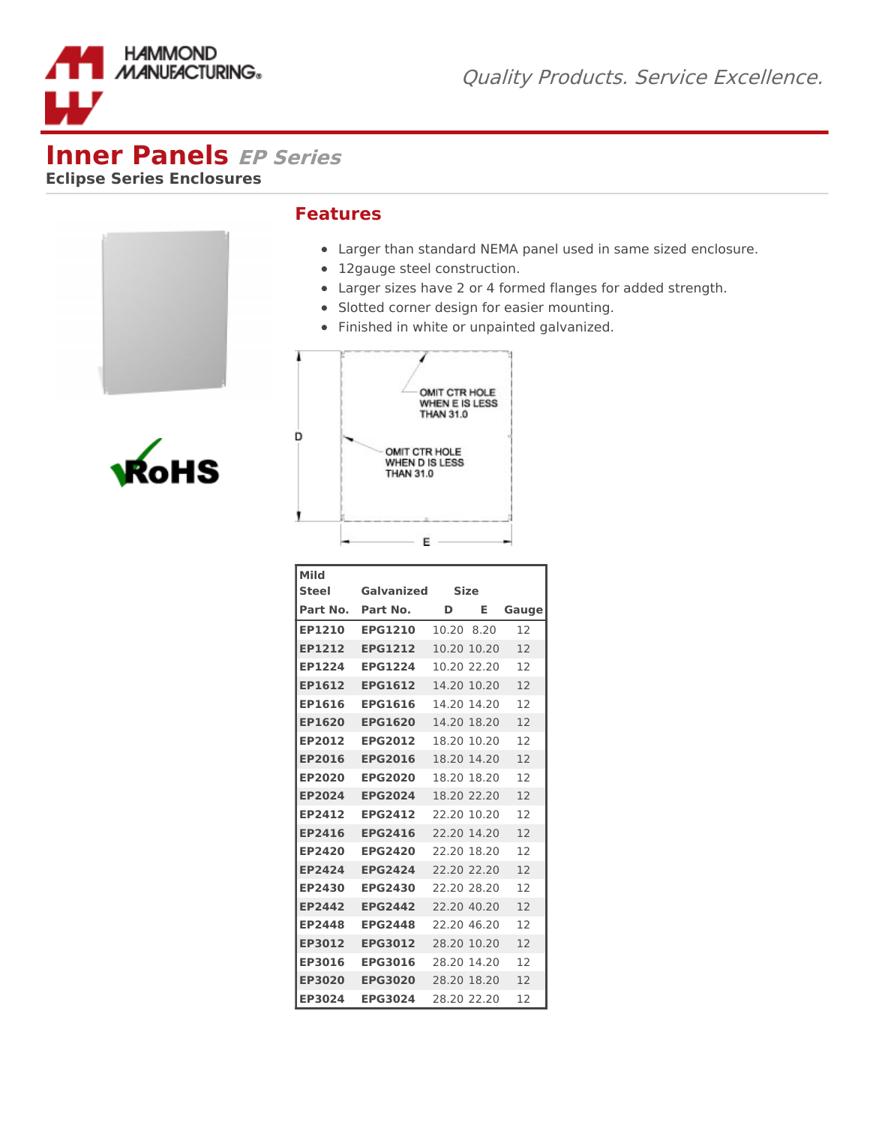

## **Inner Panels EP Series**

**Eclipse Series Enclosures**

## **Features**

- Larger than standard NEMA panel used in same sized enclosure.
- 12gauge steel construction.
- Larger sizes have 2 or 4 formed flanges for added strength.
- Slotted corner design for easier mounting.
- Finished in white or unpainted galvanized.



| OMIT CTR HOLE<br>WHEN E IS LESS<br><b>THAN 31.0</b> |
|-----------------------------------------------------|
| OMIT CTR HOLE<br>WHEN D IS LESS<br><b>THAN 31.0</b> |
|                                                     |

| Mild              |                |            |             |       |
|-------------------|----------------|------------|-------------|-------|
| <b>Steel</b>      | Galvanized     |            | <b>Size</b> |       |
| Part No. Part No. |                | D          | Е           | Gauge |
| <b>EP1210</b>     | <b>EPG1210</b> | 10.20 8.20 |             | 12    |
| EP1212            | <b>EPG1212</b> |            | 10.20 10.20 | 12    |
| EP1224            | <b>EPG1224</b> |            | 10.20 22.20 | 12    |
| EP1612            | <b>EPG1612</b> |            | 14.20 10.20 | 12    |
| EP1616            | <b>EPG1616</b> |            | 14.20 14.20 | 12    |
| EP1620            | <b>EPG1620</b> |            | 14.20 18.20 | 12    |
| EP2012            | <b>EPG2012</b> |            | 18.20 10.20 | 12    |
| EP2016            | <b>EPG2016</b> |            | 18.20 14.20 | 12    |
| EP2020            | <b>EPG2020</b> |            | 18.20 18.20 | 12    |
| EP2024            | <b>EPG2024</b> |            | 18.20 22.20 | 12    |
| EP2412            | <b>EPG2412</b> |            | 22.20 10.20 | 12    |
| <b>EP2416</b>     | <b>EPG2416</b> |            | 22.20 14.20 | 12    |
| EP2420            | <b>EPG2420</b> |            | 22.20 18.20 | 12    |
| <b>EP2424</b>     | <b>EPG2424</b> |            | 22.20.22.20 | 12    |
| EP2430            | <b>EPG2430</b> |            | 22.20 28.20 | 12    |
| EP2442            | <b>EPG2442</b> |            | 22.20 40.20 | 12    |
| EP2448            | <b>EPG2448</b> |            | 22.20 46.20 | 12    |
| EP3012            | <b>EPG3012</b> |            | 28.20 10.20 | 12    |
| EP3016            | <b>EPG3016</b> |            | 28.20 14.20 | 12    |
| <b>EP3020</b>     | <b>EPG3020</b> |            | 28.20 18.20 | 12    |
| EP3024            | <b>EPG3024</b> |            | 28.20 22.20 | 12    |